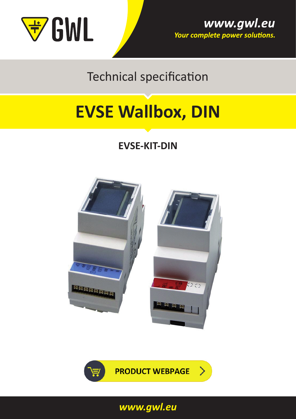

Technical specification

# **[EVSE Wallbox, DIN](https://shop.gwl.eu/Electric-Cars/EVSE-kit-for-EV-charging-station-cable-DIN-version.html)**

# **EVSE-KIT-DIN**





*<www.gwl.eu>*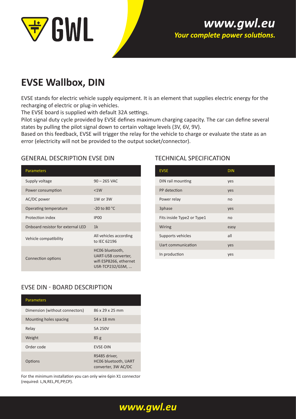

### www.gwl.eu Your complete power solutions.

## **EVSE Wallbox, DIN**

EVSE stands for electric vehicle supply equipment. It is an element that supplies electric energy for the recharging of electric or plug-in vehicles.

The EVSE board is supplied with default 32A settings.

Pilot signal duty cycle provided by EVSE defines maximum charging capacity. The car can define several states by pulling the pilot signal down to certain voltage levels (3V, 6V, 9V).

Based on this feedback, EVSE will trigger the relay for the vehicle to charge or evaluate the state as an error (electricity will not be provided to the output socket/connector).

#### GENERAL DESCRIPTION EVSE DIN

| <b>Parameters</b>                 |                                                                                     |
|-----------------------------------|-------------------------------------------------------------------------------------|
| Supply voltage                    | $90 - 265$ VAC                                                                      |
| Power consumption                 | < 1W                                                                                |
| AC/DC power                       | 1W or 3W                                                                            |
| Operating temperature             | $-20$ to 80 $^{\circ}$ C                                                            |
| Protection index                  | IP <sub>00</sub>                                                                    |
| Onboard resistor for external LED | 1k                                                                                  |
| Vehicle compatibility             | All vehicles according<br>to IEC 62196                                              |
| Connection options                | HC06 bluetooth,<br>UART-USB converter,<br>wifi ESP8266, ethernet<br>USR-TCP232/GSM, |

#### TECHNICAL SPECIFICATION

| <b>EVSE</b>                | <b>DIN</b> |
|----------------------------|------------|
| DIN rail mounting          | yes        |
| PP detection               | yes        |
| Power relay                | no         |
| 3phase                     | yes        |
| Fits inside Type2 or Type1 | no         |
| Wiring                     | easy       |
| Supports vehicles          | all        |
| Uart communication         | yes        |
| In production              | yes        |

#### EVSE DIN - BOARD DESCRIPTION

| <b>Parameters</b>              |                                                                     |
|--------------------------------|---------------------------------------------------------------------|
| Dimension (without connectors) | 86 x 29 x 25 mm                                                     |
| Mounting holes spacing         | 54 x 18 mm                                                          |
| Relay                          | 5A 250V                                                             |
| Weight                         | 85g                                                                 |
| Order code                     | <b>EVSE-DIN</b>                                                     |
| Options                        | RS485 driver,<br><b>HC06 bluetooth, UART</b><br>converter, 3W AC/DC |

For the minimum installation you can only wire 6pin X1 connector (required: L,N,REL,PE,PP,CP).

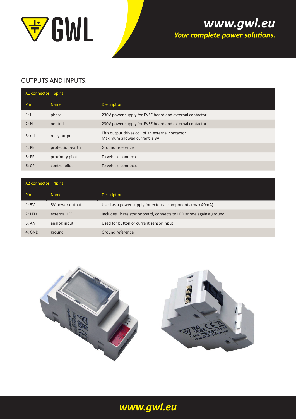

## www.gwl.eu Your complete power solutions.

#### OUTPUTS AND INPUTS:

| $X1$ connector = 6pins |                  |                                                                                   |
|------------------------|------------------|-----------------------------------------------------------------------------------|
| Pin                    | <b>Name</b>      | <b>Description</b>                                                                |
| 1: L                   | phase            | 230V power supply for EVSE board and external contactor                           |
| 2: N                   | neutral          | 230V power supply for EVSE board and external contactor                           |
| $3:$ rel               | relay output     | This output drives coil of an external contactor<br>Maximum allowed current is 3A |
| 4:PE                   | protection-earth | Ground reference                                                                  |
| 5:PP                   | proximity pilot  | To vehicle connector                                                              |
| 6:CP                   | control pilot    | To vehicle connector                                                              |

| $X2$ connector = 4pins |                 |                                                                    |
|------------------------|-----------------|--------------------------------------------------------------------|
| Pin                    | <b>Name</b>     | <b>Description</b>                                                 |
| 1:5V                   | 5V power output | Used as a power supply for external components (max 40mA)          |
| 2:LED                  | external LED    | Includes 1k resistor onboard, connects to LED anode against ground |
| 3:AN                   | analog input    | Used for button or current sensor input                            |
| $4:$ GND               | ground          | Ground reference                                                   |



## *<www.gwl.eu>*